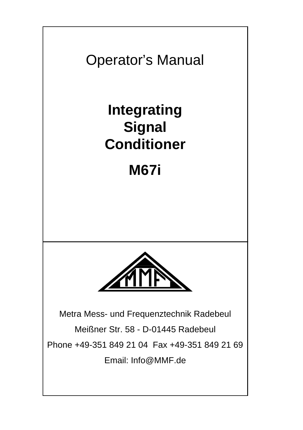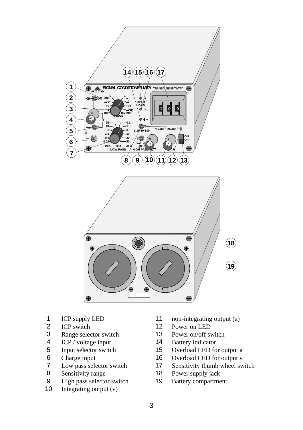

- 
- 
- 3 Range selector switch 13 Power on/off switch<br>4 ICP / voltage input 14 Battery indicator
- 
- 4 ICP / voltage input<br>5 Input selector switch
- 
- 
- 
- 8 Sensitivity range 18 Power supply jack<br>9 High pass selector switch 19 Battery compartment 9 High pass selector switch 19<br>10 Integrating output  $(v)$
- Integrating output  $(v)$
- 1 ICP supply LED 11 non-integrating output (a)<br>2 ICP switch 12 Power on LED
- 2 ICP switch 12 Power on LED<br>3 Range selector switch 13 Power on/off sy
	-
	-
	- Input selector switch 15 Overload LED for output a<br>
	16 Overload LED for output v<br>
	16 Overload LED for output v
- 6 Charge input 16 Overload LED for output v<br>7 Low pass selector switch 17 Sensitivity thumb wheel sw
- 7 Low pass selector switch 17 Sensitivity thumb wheel switch<br>8 Sensitivity range 18 Power supply jack
	-
	-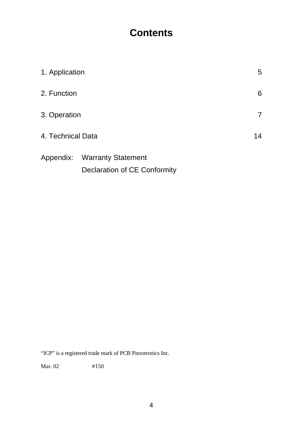# **Contents**

| 1. Application    |                              | 5  |
|-------------------|------------------------------|----|
| 2. Function       |                              | 6  |
| 3. Operation      |                              | 7  |
| 4. Technical Data |                              | 14 |
|                   | Appendix: Warranty Statement |    |
|                   | Declaration of CE Conformity |    |

"ICP" is a registered trade mark of PCB Piezotronics Inc.

Mar. 02 #150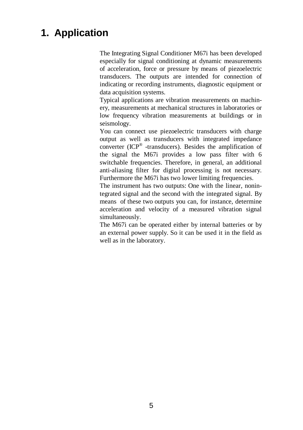# **1. Application**

The Integrating Signal Conditioner M67i has been developed especially for signal conditioning at dynamic measurements of acceleration, force or pressure by means of piezoelectric transducers. The outputs are intended for connection of indicating or recording instruments, diagnostic equipment or data acquisition systems.

Typical applications are vibration measurements on machinery, measurements at mechanical structures in laboratories or low frequency vibration measurements at buildings or in seismology.

You can connect use piezoelectric transducers with charge output as well as transducers with integrated impedance converter (ICP® -transducers). Besides the amplification of the signal the M67i provides a low pass filter with 6 switchable frequencies. Therefore, in general, an additional anti-aliasing filter for digital processing is not necessary. Furthermore the M67i has two lower limiting frequencies.

The instrument has two outputs: One with the linear, nonintegrated signal and the second with the integrated signal. By means of these two outputs you can, for instance, determine acceleration and velocity of a measured vibration signal simultaneously.

The M67i can be operated either by internal batteries or by an external power supply. So it can be used it in the field as well as in the laboratory.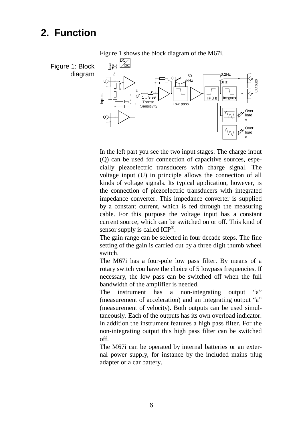# **2. Function**



In the left part you see the two input stages. The charge input (Q) can be used for connection of capacitive sources, especially piezoelectric transducers with charge signal. The voltage input (U) in principle allows the connection of all kinds of voltage signals. Its typical application, however, is the connection of piezoelectric transducers with integrated impedance converter. This impedance converter is supplied by a constant current, which is fed through the measuring cable. For this purpose the voltage input has a constant current source, which can be switched on or off. This kind of sensor supply is called ICP®.

The gain range can be selected in four decade steps. The fine setting of the gain is carried out by a three digit thumb wheel switch.

The M67i has a four-pole low pass filter. By means of a rotary switch you have the choice of 5 lowpass frequencies. If necessary, the low pass can be switched off when the full bandwidth of the amplifier is needed.

The instrument has a non-integrating output "a" (measurement of acceleration) and an integrating output "a" (measurement of velocity). Both outputs can be used simultaneously. Each of the outputs has its own overload indicator. In addition the instrument features a high pass filter. For the non-integrating output this high pass filter can be switched off.

The M67i can be operated by internal batteries or an external power supply, for instance by the included mains plug adapter or a car battery.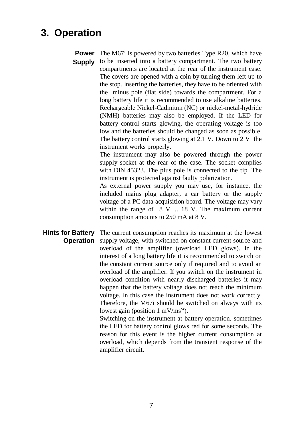# **3. Operation**

**Power** The M67i is powered by two batteries Type R20, which have

**Supply** to be inserted into a battery compartment. The two battery compartments are located at the rear of the instrument case. The covers are opened with a coin by turning them left up to the stop. Inserting the batteries, they have to be oriented with the minus pole (flat side) towards the compartment. For a long battery life it is recommended to use alkaline batteries. Rechargeable Nickel-Cadmium (NC) or nickel-metal-hydride (NMH) batteries may also be employed. If the LED for battery control starts glowing, the operating voltage is too low and the batteries should be changed as soon as possible. The battery control starts glowing at 2.1 V. Down to 2 V the instrument works properly.

> The instrument may also be powered through the power supply socket at the rear of the case. The socket complies with DIN 45323. The plus pole is connected to the tip. The instrument is protected against faulty polarization.

> As external power supply you may use, for instance, the included mains plug adapter, a car battery or the supply voltage of a PC data acquisition board. The voltage may vary within the range of 8 V ... 18 V. The maximum current consumption amounts to 250 mA at 8 V.

**Hints for Battery Operation** The current consumption reaches its maximum at the lowest supply voltage, with switched on constant current source and overload of the amplifier (overload LED glows). In the interest of a long battery life it is recommended to switch on the constant current source only if required and to avoid an overload of the amplifier. If you switch on the instrument in overload condition with nearly discharged batteries it may happen that the battery voltage does not reach the minimum voltage. In this case the instrument does not work correctly. Therefore, the M67i should be switched on always with its lowest gain (position  $1 \text{ mV/ms}^{-2}$ ).

Switching on the instrument at battery operation, sometimes the LED for battery control glows red for some seconds. The reason for this event is the higher current consumption at overload, which depends from the transient response of the amplifier circuit.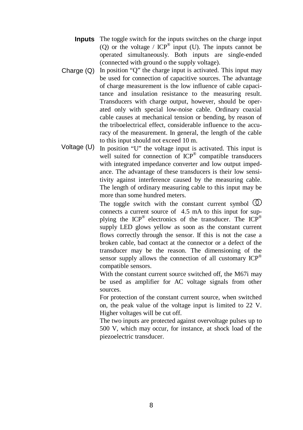- **Inputs** The toggle switch for the inputs switches on the charge input (O) or the voltage /  $ICP^{\otimes}$  input (U). The inputs cannot be operated simultaneously. Both inputs are single-ended (connected with ground o the supply voltage).
- Charge (Q) In position "Q" the charge input is activated. This input may be used for connection of capacitive sources. The advantage of charge measurement is the low influence of cable capacitance and insulation resistance to the measuring result. Transducers with charge output, however, should be operated only with special low-noise cable. Ordinary coaxial cable causes at mechanical tension or bending, by reason of the triboelectrical effect, considerable influence to the accuracy of the measurement. In general, the length of the cable to this input should not exceed 10 m.
- Voltage (U) In position "U" the voltage input is activated. This input is well suited for connection of ICP<sup>®</sup> compatible transducers with integrated impedance converter and low output impedance. The advantage of these transducers is their low sensitivity against interference caused by the measuring cable. The length of ordinary measuring cable to this input may be more than some hundred meters.

The toggle switch with the constant current symbol  $\mathbb{O}$ connects a current source of 4.5 mA to this input for supplying the  $ICP^{\otimes}$  electronics of the transducer. The  $ICP^{\otimes}$ supply LED glows yellow as soon as the constant current flows correctly through the sensor. If this is not the case a broken cable, bad contact at the connector or a defect of the transducer may be the reason. The dimensioning of the sensor supply allows the connection of all customary ICP<sup>®</sup> compatible sensors.

With the constant current source switched off, the M67i may be used as amplifier for AC voltage signals from other sources.

For protection of the constant current source, when switched on, the peak value of the voltage input is limited to 22 V. Higher voltages will be cut off.

The two inputs are protected against overvoltage pulses up to 500 V, which may occur, for instance, at shock load of the piezoelectric transducer.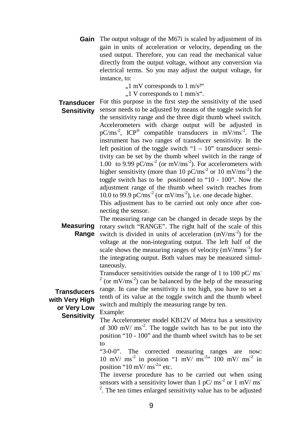Gain The output voltage of the M67i is scaled by adjustment of its gain in units of acceleration or velocity, depending on the used output. Therefore, you can read the mechanical value directly from the output voltage, without any conversion via electrical terms. So you may adjust the output voltage, for instance, to:

 $,1 \text{ mV corresponds to } 1 \text{ m/s}^{2\cdot\cdot\cdot}$ 

 $1$  V corresponds to 1 mm/s".

**Transducer** For this purpose in the first step the sensitivity of the used **Sensitivity** sensor needs to be adjusted by means of the toggle switch for the sensitivity range and the three digit thumb wheel switch. Accelerometers with charge output will be adjusted in  $pC/ms<sup>-2</sup>$ , ICP<sup>®</sup> compatible transducers in  $mV/ms<sup>-2</sup>$ . The instrument has two ranges of transducer sensitivity. In the left position of the toggle switch " $1 - 10$ " transducer sensitivity can be set by the thumb wheel switch in the range of 1.00 to 9.99 pC/ms<sup>-2</sup> (or mV/ms<sup>-2</sup>). For accelerometers with higher sensitivity (more than 10 pC/ms<sup>-2</sup> or 10 mV/ms<sup>-2</sup>) the toggle switch has to be positioned to "10 - 100". Now the adjustment range of the thumb wheel switch reaches from 10.0 to 99.9 pC/ms<sup>-2</sup> (or mV/ms<sup>-2</sup>), i.e. one decade higher.

This adjustment has to be carried out only once after connecting the sensor.

**Measuring** rotary switch "RANGE". The right half of the scale of this **Range** switch is divided in units of acceleration (mV/ms<sup>-2</sup>) for the The measuring range can be changed in decade steps by the voltage at the non-integrating output. The left half of the scale shows the measuring ranges of velocity  $(mV/mms^{-1})$  for the integrating output. Both values may be measured simultaneously.

Transducer sensitivities outside the range of 1 to 100 pC/ $ms$  $2$  (or mV/ms<sup>-2</sup>) can be balanced by the help of the measuring range. In case the sensitivity is too high, you have to set a tenth of its value at the toggle switch and the thumb wheel switch and multiply the measuring range by ten.

#### **Transducers with Very High or Very Low Sensitivity**

Example:

The Accelerometer model KB12V of Metra has a sensitivity of 300 mV/  $\text{ms}^2$ . The toggle switch has to be put into the position "10 - 100" and the thumb wheel switch has to be set to

"3-0-0". The corrected measuring ranges are now: 10 mV/  $\text{ms}^2$  in position "1 mV/  $\text{ms}^2$ " 100 mV/  $\text{ms}^2$  in position "10 mV/ $ms^{-2}$ " etc.

The inverse procedure has to be carried out when using sensors with a sensitivity lower than  $1 \text{ pC/ms}^{-2}$  or  $1 \text{ mV/ms}^{-1}$  $2$ . The ten times enlarged sensitivity value has to be adjusted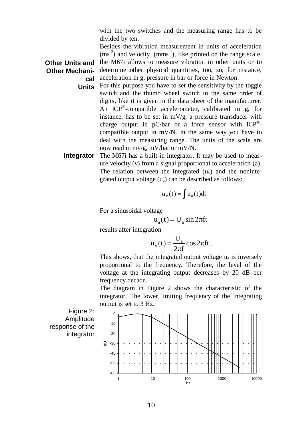with the two switches and the measuring range has to be divided by ten.

**Other Units and cal** Besides the vibration measurement in units of acceleration  $(ms<sup>-2</sup>)$  and velocity  $(mms<sup>-1</sup>)$ , like printed on the range scale, the M67i allows to measure vibration in other units or to determine other physical quantities, too, so, for instance, acceleration in g, pressure in bar or force in Newton.

- Units For this purpose you have to set the sensitivity by the toggle switch and the thumb wheel switch in the same order of digits, like it is given in the data sheet of the manufacturer. An ICP<sup>®</sup>-compatible accelerometer, calibrated in g, for instance, has to be set in mV/g, a pressure transducer with charge output in  $pC/bar$  or a force sensor with  $ICP^{\otimes}$ compatible output in mV/N. In the same way you have to deal with the measuring range. The units of the scale are now read in mv/g, mV/bar or mV/N.
- **Integrator** The M67i has a built-in integrator. It may be used to measure velocity (v) from a signal proportional to acceleration (a). The relation between the integrated  $(u<sub>v</sub>)$  and the nonintegrated output voltage  $(u_a)$  can be described as follows:

$$
u_{v}(t) = \int u_{a}(t)dt
$$

For a sinusoidal voltage

$$
u_a(t) = U_a \sin 2\pi f t
$$

results after integration

$$
u_{v}(t) = \frac{U_{a}}{2\pi f} \cos 2\pi f t.
$$

This shows, that the integrated output voltage  $u_a$  is inversely proportional to the frequency. Therefore, the level of the voltage at the integrating output decreases by 20 dB per frequency decade.

The diagram in Figure 2 shows the characteristic of the integrator. The lower limiting frequency of the integrating output is set to 3 Hz.

Figure 2: Amplitude response of the integrator

**Other Mechani-**

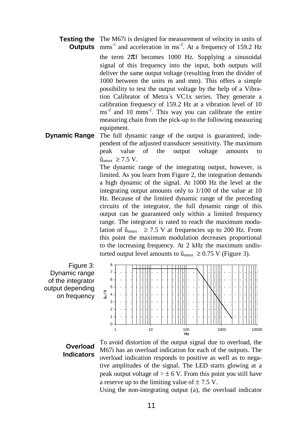#### **Testing the** The M67i is designed for measurement of velocity in units of **Outputs** mms<sup>-1</sup> and acceleration in ms<sup>-2</sup>. At a frequency of 159.2 Hz

the term  $2\pi f$  becomes 1000 Hz. Supplying a sinusoidal signal of this frequency into the input, both outputs will deliver the same output voltage (resulting from the divider of 1000 between the units m and mm). This offers a simple possibility to test the output voltage by the help of a Vibration Calibrator of Metra´s VC1x series. They generate a calibration frequency of 159.2 Hz at a vibration level of 10  $\text{ms}^2$  and 10 mms<sup>-1</sup>. This way you can calibrate the entire measuring chain from the pick-up to the following measuring equipment.

**Dynamic Range** The full dynamic range of the output is guaranteed, independent of the adjusted transducer sensitivity. The maximum peak value of the output voltage amounts to  $\hat{u}_{\text{smav}} \geq 7.5 \text{ V}.$ 

> The dynamic range of the integrating output, however, is limited. As you learn from Figure 2, the integration demands a high dynamic of the signal. At 1000 Hz the level at the integrating output amounts only to 1/100 of the value at 10 Hz. Because of the limited dynamic range of the preceding circuits of the integrator, the full dynamic range of this output can be guaranteed only within a limited frequency range. The integrator is rated to reach the maximum modulation of  $\hat{u}_{\text{amax}} \ge 7.5$  V at frequencies up to 200 Hz. From this point the maximum modulation decreases proportional to the increasing frequency. At 2 kHz the maximum undistorted output level amounts to  $\hat{u}_{\text{amax}} \geq 0.75$  V (Figure 3).

Figure 3: Dynamic range of the integrator output depending on frequency



### **Overload Indicators**

To avoid distortion of the output signal due to overload, the M67i has an overload indication for each of the outputs. The overload indication responds to positive as well as to negative amplitudes of the signal. The LED starts glowing at a peak output voltage of  $> \pm 6$  V. From this point you still have a reserve up to the limiting value of  $\pm$  7.5 V.

Using the non-integrating output (a), the overload indicator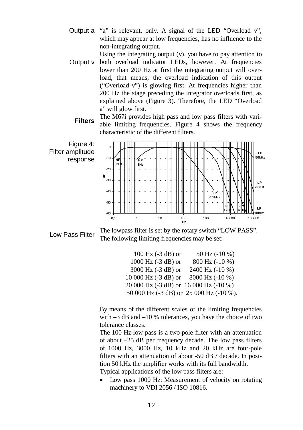Output a "a" is relevant, only. A signal of the LED "Overload v", which may appear at low frequencies, has no influence to the non-integrating output.

Using the integrating output (v), you have to pay attention to

Output v both overload indicator LEDs, however. At frequencies lower than 200 Hz at first the integrating output will overload, that means, the overload indication of this output ("Overload v") is glowing first. At frequencies higher than 200 Hz the stage preceding the integrator overloads first, as explained above (Figure 3). Therefore, the LED "Overload a" will glow first.

Filters The M67i provides high pass and low pass filters with variable limiting frequencies. Figure 4 shows the frequency characteristic of the different filters.



Low Pass Filter  $\frac{1}{2}$  The lowpass filter is set by the rotary switch "LOW PASS". The following limiting frequencies may be set:

| $100$ Hz $(-3$ dB) or                       | 50 Hz (-10 %)     |
|---------------------------------------------|-------------------|
| $1000$ Hz $(-3$ dB) or                      | $800$ Hz $(-10%)$ |
| $3000$ Hz $(-3$ dB) or                      | 2400 Hz (-10 %)   |
| $10000$ Hz $(-3$ dB) or                     | 8000 Hz (-10 %)   |
| 20 000 Hz $(-3$ dB) or $16000$ Hz $(-10\%)$ |                   |
| 50 000 Hz (-3 dB) or 25 000 Hz (-10 %).     |                   |

By means of the different scales of the limiting frequencies with  $-3$  dB and  $-10$  % tolerances, you have the choice of two tolerance classes.

The 100 Hz-low pass is a two-pole filter with an attenuation of about –25 dB per frequency decade. The low pass filters of 1000 Hz, 3000 Hz, 10 kHz and 20 kHz are four-pole filters with an attenuation of about -50 dB / decade. In position 50 kHz the amplifier works with its full bandwidth. Typical applications of the low pass filters are:

• Low pass 1000 Hz: Measurement of velocity on rotating machinery to VDI 2056 / ISO 10816.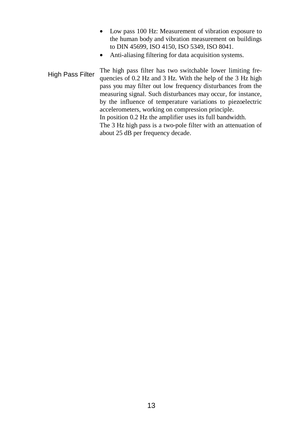- Low pass 100 Hz: Measurement of vibration exposure to the human body and vibration measurement on buildings to DIN 45699, ISO 4150, ISO 5349, ISO 8041.
- Anti-aliasing filtering for data acquisition systems.

High Pass Filter The high pass filter has two switchable lower limiting fre-<br>High Pass Filter is a contracted by High development of the CM did the filter of the CM did to the CM did the contracted by the contracted by the quencies of 0.2 Hz and 3 Hz. With the help of the 3 Hz high pass you may filter out low frequency disturbances from the measuring signal. Such disturbances may occur, for instance, by the influence of temperature variations to piezoelectric accelerometers, working on compression principle. In position 0.2 Hz the amplifier uses its full bandwidth. The 3 Hz high pass is a two-pole filter with an attenuation of about 25 dB per frequency decade.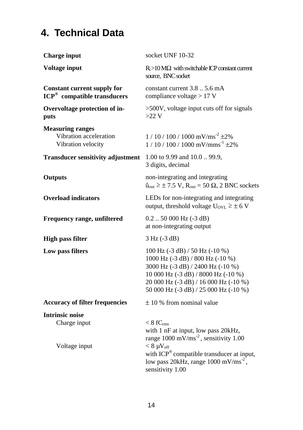# **4. Technical Data**

| <b>Charge input</b>                                                           | socket UNF 10-32                                                                                                                                                                                                                                             |
|-------------------------------------------------------------------------------|--------------------------------------------------------------------------------------------------------------------------------------------------------------------------------------------------------------------------------------------------------------|
| <b>Voltage input</b>                                                          | $R_i > 10 M\Omega$ with switchable ICP constant current<br>source, BNC socket                                                                                                                                                                                |
| <b>Constant current supply for</b><br>ICP <sup>®</sup> compatible transducers | constant current 3.8  5.6 mA<br>compliance voltage $> 17$ V                                                                                                                                                                                                  |
| Overvoltage protection of in-<br>puts                                         | >500V, voltage input cuts off for signals<br>$>22$ V                                                                                                                                                                                                         |
| <b>Measuring ranges</b><br>Vibration acceleration<br>Vibration velocity       | $1/10/100/1000$ mV/ms <sup>-2</sup> $\pm$ 2%<br>$1/10/100/1000$ mV/mms <sup>-1</sup> $\pm$ 2%                                                                                                                                                                |
| <b>Transducer sensitivity adjustment</b>                                      | 1.00 to 9.99 and 10.0  99.9,<br>3 digits, decimal                                                                                                                                                                                                            |
| <b>Outputs</b>                                                                | non-integrating and integrating<br>$\hat{u}_{out} \ge \pm 7.5 \text{ V}$ , $R_{out} = 50 \Omega$ , 2 BNC sockets                                                                                                                                             |
| <b>Overload</b> indicators                                                    | LEDs for non-integrating and integrating<br>output, threshold voltage $U_{\text{OVL}} \geq \pm 6$ V                                                                                                                                                          |
| Frequency range, unfiltered                                                   | $0.2$ 50 000 Hz $(-3$ dB)<br>at non-integrating output                                                                                                                                                                                                       |
| <b>High pass filter</b>                                                       | $3 Hz (-3 dB)$                                                                                                                                                                                                                                               |
| Low pass filters                                                              | 100 Hz (-3 dB) / 50 Hz (-10 %)<br>1000 Hz (-3 dB) / 800 Hz (-10 %)<br>3000 Hz (-3 dB) / 2400 Hz (-10 %)<br>10 000 Hz (-3 dB) / 8000 Hz (-10 %)<br>20 000 Hz (-3 dB) / 16 000 Hz (-10 %)<br>50 000 Hz (-3 dB) / 25 000 Hz (-10 %)                             |
| <b>Accuracy of filter frequencies</b>                                         | $\pm$ 10 % from nominal value                                                                                                                                                                                                                                |
| <b>Intrinsic noise</b><br>Charge input<br>Voltage input                       | $< 8$ fC $_{\rm rms}$<br>with 1 nF at input, low pass 20kHz,<br>range 1000 mV/ms <sup>-2</sup> , sensitivity 1.00<br>$< 8 \mu V_{eff}$<br>with ICP® compatible transducer at input,<br>low pass 20kHz, range $1000 \text{ mV/ms}^{-2}$ ,<br>sensitivity 1.00 |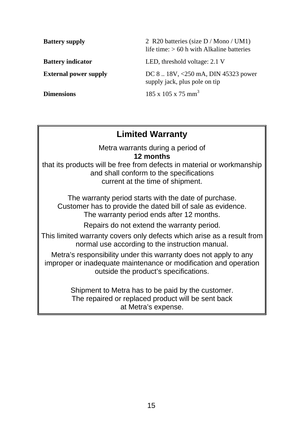| <b>Battery supply</b>        | 2 R20 batteries (size D / Mono / UM1)<br>life time: $> 60$ h with Alkaline batteries |
|------------------------------|--------------------------------------------------------------------------------------|
| <b>Battery indicator</b>     | LED, threshold voltage: 2.1 V                                                        |
| <b>External power supply</b> | DC 8 $\ldots$ 18V, <250 mA, DIN 45323 power<br>supply jack, plus pole on tip         |
| <b>Dimensions</b>            | $185 \times 105 \times 75 \text{ mm}^3$                                              |

## **Limited Warranty**

Metra warrants during a period of **12 months**

that its products will be free from defects in material or workmanship and shall conform to the specifications current at the time of shipment.

The warranty period starts with the date of purchase. Customer has to provide the dated bill of sale as evidence. The warranty period ends after 12 months.

Repairs do not extend the warranty period.

This limited warranty covers only defects which arise as a result from normal use according to the instruction manual.

Metra's responsibility under this warranty does not apply to any improper or inadequate maintenance or modification and operation outside the product's specifications.

> Shipment to Metra has to be paid by the customer. The repaired or replaced product will be sent back at Metra's expense.